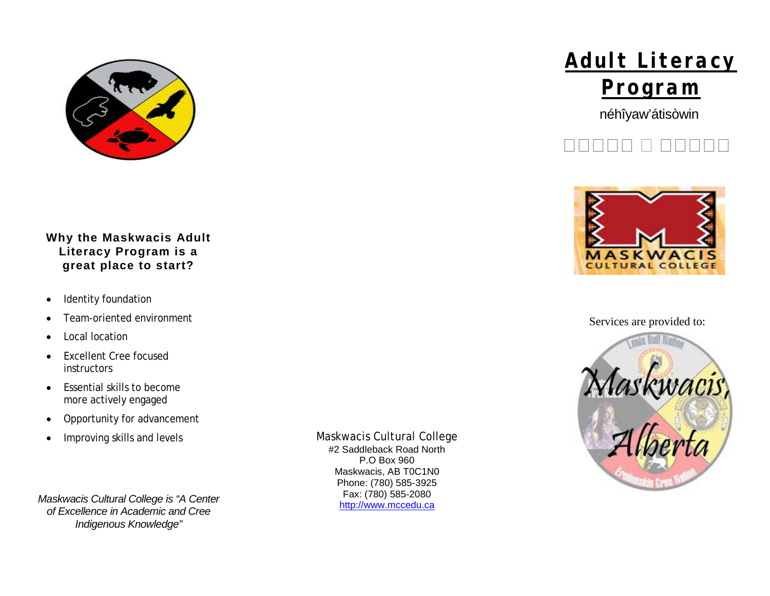

## **Why the Maskwacis Adult Literacy Program is a great place to start?**

- Identity foundation
- Team-oriented environment
- Local location
- Excellent Cree focused **instructors**
- Essential skills to become more actively engaged
- Opportunity for advancement
- Improving skills and levels

*Maskwacis Cultural College is "A Center of Excellence in Academic and Cree Indigenous Knowledge"*

Maskwacis Cultural College #2 Saddleback Road North P.O Box 960 Maskwacis, AB T0C1N0 Phone: (780) 585-3925 Fax: (780) 585-2080 [http://www.mccedu.ca](http://www.mccedu.ca/)



néhîyaw'átisòwin





Services are provided to: